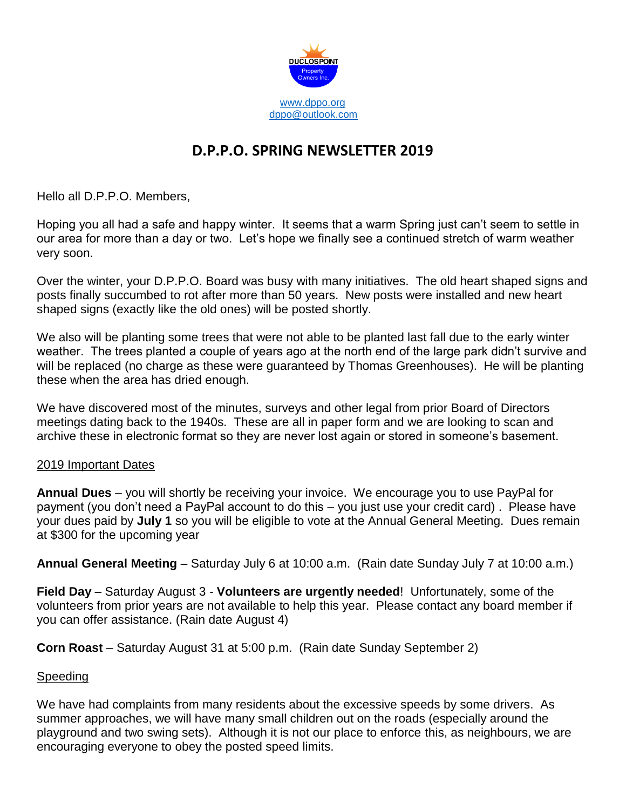

## **D.P.P.O. SPRING NEWSLETTER 2019**

Hello all D.P.P.O. Members,

Hoping you all had a safe and happy winter. It seems that a warm Spring just can't seem to settle in our area for more than a day or two. Let's hope we finally see a continued stretch of warm weather very soon.

Over the winter, your D.P.P.O. Board was busy with many initiatives. The old heart shaped signs and posts finally succumbed to rot after more than 50 years. New posts were installed and new heart shaped signs (exactly like the old ones) will be posted shortly.

We also will be planting some trees that were not able to be planted last fall due to the early winter weather. The trees planted a couple of years ago at the north end of the large park didn't survive and will be replaced (no charge as these were guaranteed by Thomas Greenhouses). He will be planting these when the area has dried enough.

We have discovered most of the minutes, surveys and other legal from prior Board of Directors meetings dating back to the 1940s. These are all in paper form and we are looking to scan and archive these in electronic format so they are never lost again or stored in someone's basement.

## 2019 Important Dates

**Annual Dues** – you will shortly be receiving your invoice. We encourage you to use PayPal for payment (you don't need a PayPal account to do this – you just use your credit card) . Please have your dues paid by **July 1** so you will be eligible to vote at the Annual General Meeting. Dues remain at \$300 for the upcoming year

**Annual General Meeting** – Saturday July 6 at 10:00 a.m. (Rain date Sunday July 7 at 10:00 a.m.)

**Field Day** – Saturday August 3 - **Volunteers are urgently needed**! Unfortunately, some of the volunteers from prior years are not available to help this year. Please contact any board member if you can offer assistance. (Rain date August 4)

**Corn Roast** – Saturday August 31 at 5:00 p.m. (Rain date Sunday September 2)

## **Speeding**

We have had complaints from many residents about the excessive speeds by some drivers. As summer approaches, we will have many small children out on the roads (especially around the playground and two swing sets). Although it is not our place to enforce this, as neighbours, we are encouraging everyone to obey the posted speed limits.